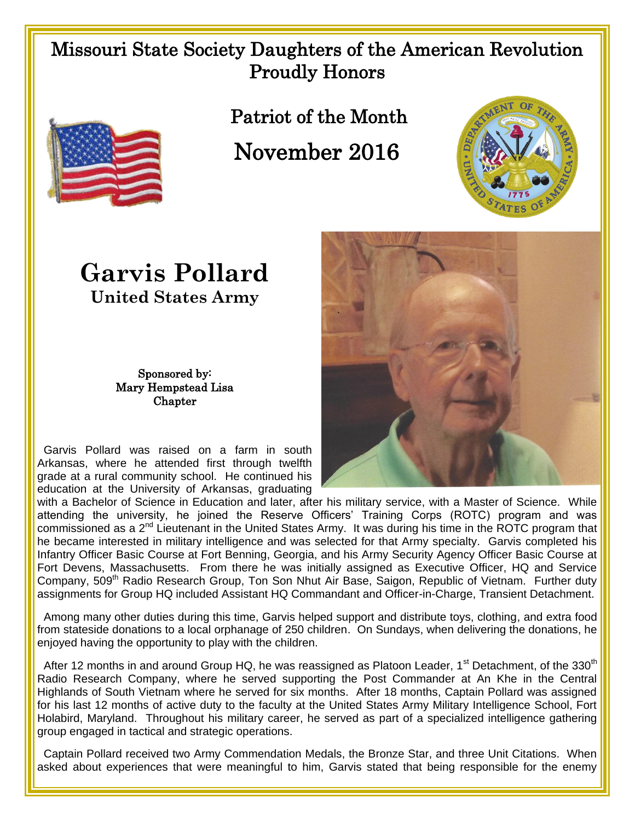## Missouri State Society Daughters of the American Revolution Proudly Honors



Patriot of the Month

November 2016



## **Garvis Pollard United States Army**

## Sponsored by: Mary Hempstead Lisa Chapter

 Garvis Pollard was raised on a farm in south Arkansas, where he attended first through twelfth grade at a rural community school. He continued his education at the University of Arkansas, graduating



with a Bachelor of Science in Education and later, after his military service, with a Master of Science. While attending the university, he joined the Reserve Officers' Training Corps (ROTC) program and was commissioned as a 2<sup>nd</sup> Lieutenant in the United States Army. It was during his time in the ROTC program that he became interested in military intelligence and was selected for that Army specialty. Garvis completed his Infantry Officer Basic Course at Fort Benning, Georgia, and his Army Security Agency Officer Basic Course at Fort Devens, Massachusetts. From there he was initially assigned as Executive Officer, HQ and Service Company, 509<sup>th</sup> Radio Research Group, Ton Son Nhut Air Base, Saigon, Republic of Vietnam. Further duty assignments for Group HQ included Assistant HQ Commandant and Officer-in-Charge, Transient Detachment.

 Among many other duties during this time, Garvis helped support and distribute toys, clothing, and extra food from stateside donations to a local orphanage of 250 children. On Sundays, when delivering the donations, he enjoyed having the opportunity to play with the children.

After 12 months in and around Group HQ, he was reassigned as Platoon Leader, 1<sup>st</sup> Detachment, of the 330<sup>th</sup> Radio Research Company, where he served supporting the Post Commander at An Khe in the Central Highlands of South Vietnam where he served for six months. After 18 months, Captain Pollard was assigned for his last 12 months of active duty to the faculty at the United States Army Military Intelligence School, Fort Holabird, Maryland. Throughout his military career, he served as part of a specialized intelligence gathering group engaged in tactical and strategic operations.

 Captain Pollard received two Army Commendation Medals, the Bronze Star, and three Unit Citations. When asked about experiences that were meaningful to him, Garvis stated that being responsible for the enemy